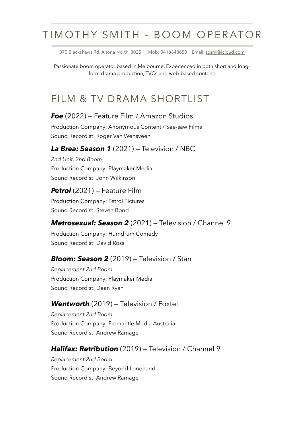# TIMOTHY SMITH - BOOM OPERATOR

370 Blackshaws Rd, Altona North, 3025 Mob: 0413648850 Email: [tpsmi@icloud.com](mailto:tpsmi@icloud.com)

Passionate boom operator based in Melbourne. Experienced in both short and longform drama production, TVCs and web-based content.

# FILM & TV DRAMA SHORTLIST

#### *Foe* (2022) — Feature Film / Amazon Studios

Production Company: Anonymous Content / See-saw Films Sound Recordist: Roger Van Wensveen

#### *La Brea: Season 1* (2021) — Television / NBC

*2nd Unit, 2nd Boom*  Production Company: Playmaker Media Sound Recordist: John Wilkinson

## *Petrol* (2021) — Feature Film

Production Company: Petrol Pictures Sound Recordist: Steven Bond

## *Metrosexual: Season 2* (2021) — Television / Channel 9

Production Company: Humdrum Comedy Sound Recordist: David Ross

## *Bloom: Season 2* (2019) — Television / Stan

*Replacement 2nd Boom* Production Company: Playmaker Media Sound Recordist: Dean Ryan

#### *Wentworth* (2019) — Television / Foxtel

*Replacement 2nd Boom* Production Company: Fremantle Media Australia Sound Recordist: Andrew Ramage

#### *Halifax: Retribution* (2019) — Television / Channel 9

*Replacement 2nd Boom* Production Company: Beyond Lonehand Sound Recordist: Andrew Ramage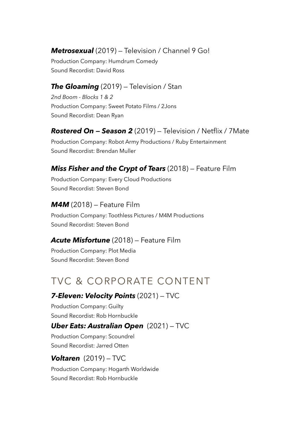## *Metrosexual* (2019) — Television / Channel 9 Go!

Production Company: Humdrum Comedy Sound Recordist: David Ross

## *The Gloaming* (2019) — Television / Stan

*2nd Boom - Blocks 1 & 2* Production Company: Sweet Potato Films / 2Jons Sound Recordist: Dean Ryan

## *Rostered On — Season 2* (2019) — Television / Netflix / 7Mate

Production Company: Robot Army Productions / Ruby Entertainment Sound Recordist: Brendan Muller

## *Miss Fisher and the Crypt of Tears* (2018) — Feature Film

Production Company: Every Cloud Productions Sound Recordist: Steven Bond

#### *M4M* (2018) — Feature Film

Production Company: Toothless Pictures / M4M Productions Sound Recordist: Steven Bond

#### *Acute Misfortune* (2018) — Feature Film

Production Company: Plot Media Sound Recordist: Steven Bond

# TVC & CORPORATE CONTENT

## *7-Eleven: Velocity Points* (2021) — TVC

Production Company: Guilty Sound Recordist: Rob Hornbuckle

## *Uber Eats: Australian Open* (2021) — TVC

Production Company: Scoundrel Sound Recordist: Jarred Otten

## *Voltaren* (2019) — TVC

Production Company: Hogarth Worldwide Sound Recordist: Rob Hornbuckle